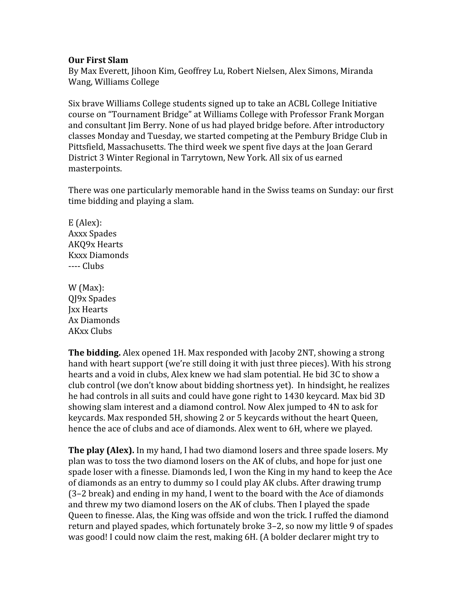## **Our First Slam**

By Max Everett, Jihoon Kim, Geoffrey Lu, Robert Nielsen, Alex Simons, Miranda Wang, Williams College

Six brave Williams College students signed up to take an ACBL College Initiative course on "Tournament Bridge" at Williams College with Professor Frank Morgan and consultant Jim Berry. None of us had played bridge before. After introductory classes Monday and Tuesday, we started competing at the Pembury Bridge Club in Pittsfield, Massachusetts. The third week we spent five days at the Joan Gerard District 3 Winter Regional in Tarrytown, New York. All six of us earned masterpoints.

There was one particularly memorable hand in the Swiss teams on Sunday: our first time bidding and playing a slam.

E (Alex): Axxx Spades AKQ9x Hearts Kxxx Diamonds ---- Clubs

W (Max): QJ9x Spades Jxx Hearts Ax Diamonds AKxx Clubs

**The bidding.** Alex opened 1H. Max responded with Jacoby 2NT, showing a strong hand with heart support (we're still doing it with just three pieces). With his strong hearts and a void in clubs, Alex knew we had slam potential. He bid 3C to show a club control (we don't know about bidding shortness yet). In hindsight, he realizes he had controls in all suits and could have gone right to 1430 keycard. Max bid 3D showing slam interest and a diamond control. Now Alex jumped to 4N to ask for keycards. Max responded 5H, showing 2 or 5 keycards without the heart Queen, hence the ace of clubs and ace of diamonds. Alex went to 6H, where we played.

**The play (Alex).** In my hand, I had two diamond losers and three spade losers. My plan was to toss the two diamond losers on the AK of clubs, and hope for just one spade loser with a finesse. Diamonds led, I won the King in my hand to keep the Ace of diamonds as an entry to dummy so I could play AK clubs. After drawing trump (3–2 break) and ending in my hand, I went to the board with the Ace of diamonds and threw my two diamond losers on the AK of clubs. Then I played the spade Queen to finesse. Alas, the King was offside and won the trick. I ruffed the diamond return and played spades, which fortunately broke 3–2, so now my little 9 of spades was good! I could now claim the rest, making 6H. (A bolder declarer might try to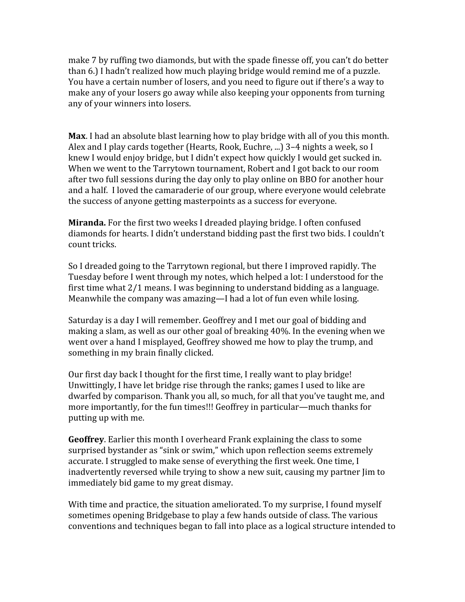make 7 by ruffing two diamonds, but with the spade finesse off, you can't do better than 6.) I hadn't realized how much playing bridge would remind me of a puzzle. You have a certain number of losers, and you need to figure out if there's a way to make any of your losers go away while also keeping your opponents from turning any of your winners into losers.

**Max**. I had an absolute blast learning how to play bridge with all of you this month. Alex and I play cards together (Hearts, Rook, Euchre, ...) 3–4 nights a week, so I knew I would enjoy bridge, but I didn't expect how quickly I would get sucked in. When we went to the Tarrytown tournament, Robert and I got back to our room after two full sessions during the day only to play online on BBO for another hour and a half. I loved the camaraderie of our group, where everyone would celebrate the success of anyone getting masterpoints as a success for everyone.

**Miranda.** For the first two weeks I dreaded playing bridge. I often confused diamonds for hearts. I didn't understand bidding past the first two bids. I couldn't count tricks.

So I dreaded going to the Tarrytown regional, but there I improved rapidly. The Tuesday before I went through my notes, which helped a lot: I understood for the first time what 2/1 means. I was beginning to understand bidding as a language. Meanwhile the company was amazing—I had a lot of fun even while losing.

Saturday is a day I will remember. Geoffrey and I met our goal of bidding and making a slam, as well as our other goal of breaking 40%. In the evening when we went over a hand I misplayed, Geoffrey showed me how to play the trump, and something in my brain finally clicked.

Our first day back I thought for the first time, I really want to play bridge! Unwittingly, I have let bridge rise through the ranks; games I used to like are dwarfed by comparison. Thank you all, so much, for all that you've taught me, and more importantly, for the fun times!!! Geoffrey in particular—much thanks for putting up with me.

**Geoffrey**. Earlier this month I overheard Frank explaining the class to some surprised bystander as "sink or swim," which upon reflection seems extremely accurate. I struggled to make sense of everything the first week. One time, I inadvertently reversed while trying to show a new suit, causing my partner Jim to immediately bid game to my great dismay.

With time and practice, the situation ameliorated. To my surprise, I found myself sometimes opening Bridgebase to play a few hands outside of class. The various conventions and techniques began to fall into place as a logical structure intended to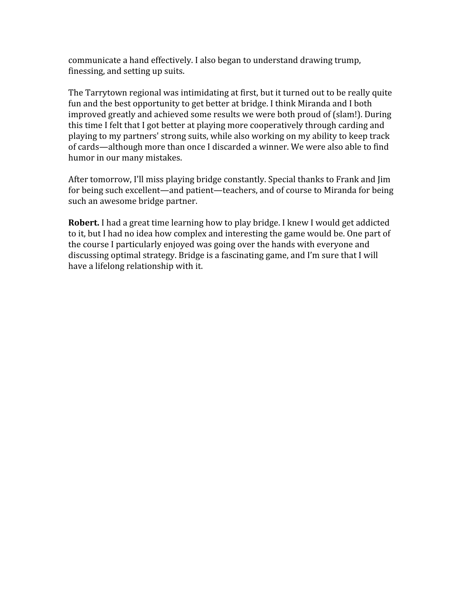communicate a hand effectively. I also began to understand drawing trump, finessing, and setting up suits.

The Tarrytown regional was intimidating at first, but it turned out to be really quite fun and the best opportunity to get better at bridge. I think Miranda and I both improved greatly and achieved some results we were both proud of (slam!). During this time I felt that I got better at playing more cooperatively through carding and playing to my partners' strong suits, while also working on my ability to keep track of cards—although more than once I discarded a winner. We were also able to find humor in our many mistakes.

After tomorrow, I'll miss playing bridge constantly. Special thanks to Frank and Jim for being such excellent—and patient—teachers, and of course to Miranda for being such an awesome bridge partner.

**Robert.** I had a great time learning how to play bridge. I knew I would get addicted to it, but I had no idea how complex and interesting the game would be. One part of the course I particularly enjoyed was going over the hands with everyone and discussing optimal strategy. Bridge is a fascinating game, and I'm sure that I will have a lifelong relationship with it.